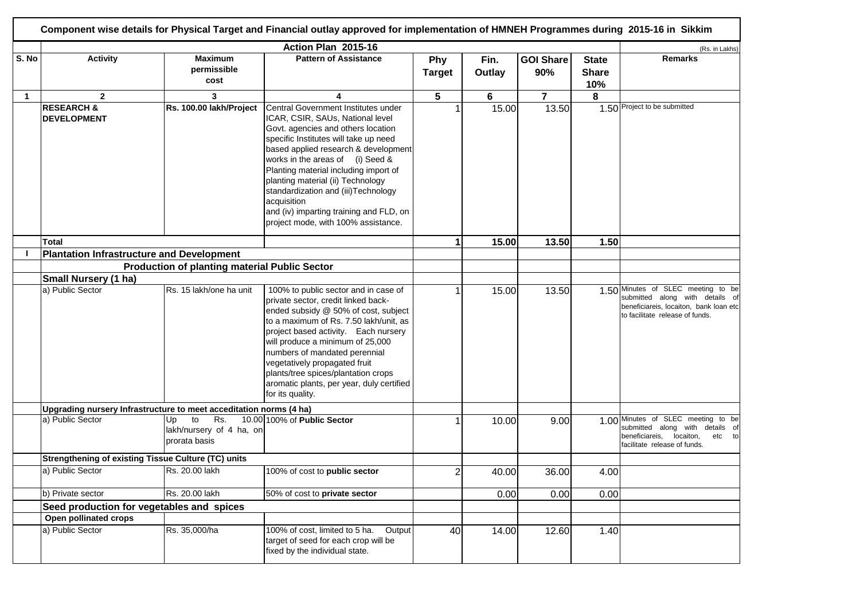|              |                                                                    |                                                              | Component wise details for Physical Target and Financial outlay approved for implementation of HMNEH Programmes during 2015-16 in Sikkim                                                                                                                                                                                                                                                                                                                 |                      |                       |                         |                                     |                                                                                                                                                    |
|--------------|--------------------------------------------------------------------|--------------------------------------------------------------|----------------------------------------------------------------------------------------------------------------------------------------------------------------------------------------------------------------------------------------------------------------------------------------------------------------------------------------------------------------------------------------------------------------------------------------------------------|----------------------|-----------------------|-------------------------|-------------------------------------|----------------------------------------------------------------------------------------------------------------------------------------------------|
| S. No        | <b>Activity</b>                                                    | <b>Maximum</b><br>permissible<br>cost                        | Action Plan 2015-16<br><b>Pattern of Assistance</b>                                                                                                                                                                                                                                                                                                                                                                                                      | Phy<br><b>Target</b> | Fin.<br><b>Outlay</b> | <b>GOI Share</b><br>90% | <b>State</b><br><b>Share</b><br>10% | (Rs. in Lakhs)<br><b>Remarks</b>                                                                                                                   |
| $\mathbf{1}$ | $\mathbf{2}$                                                       | 3                                                            | 4                                                                                                                                                                                                                                                                                                                                                                                                                                                        | 5                    | 6                     | $\overline{7}$          | 8                                   |                                                                                                                                                    |
|              | <b>RESEARCH &amp;</b><br><b>DEVELOPMENT</b>                        | Rs. 100.00 lakh/Project                                      | Central Government Institutes under<br>ICAR, CSIR, SAUs, National level<br>Govt. agencies and others location<br>specific Institutes will take up need<br>based applied research & development<br>works in the areas of (i) Seed &<br>Planting material including import of<br>planting material (ii) Technology<br>standardization and (iii)Technology<br>acquisition<br>and (iv) imparting training and FLD, on<br>project mode, with 100% assistance. |                      | 15.00                 | 13.50                   |                                     | 1.50 Project to be submitted                                                                                                                       |
|              | <b>Total</b>                                                       |                                                              |                                                                                                                                                                                                                                                                                                                                                                                                                                                          | 1                    | 15.00                 | 13.50                   | 1.50                                |                                                                                                                                                    |
|              | <b>Plantation Infrastructure and Development</b>                   |                                                              |                                                                                                                                                                                                                                                                                                                                                                                                                                                          |                      |                       |                         |                                     |                                                                                                                                                    |
|              |                                                                    | <b>Production of planting material Public Sector</b>         |                                                                                                                                                                                                                                                                                                                                                                                                                                                          |                      |                       |                         |                                     |                                                                                                                                                    |
|              | Small Nursery (1 ha)                                               |                                                              |                                                                                                                                                                                                                                                                                                                                                                                                                                                          |                      |                       |                         |                                     |                                                                                                                                                    |
|              | a) Public Sector                                                   | Rs. 15 lakh/one ha unit                                      | 100% to public sector and in case of<br>private sector, credit linked back-<br>ended subsidy @ 50% of cost, subject<br>to a maximum of Rs. 7.50 lakh/unit, as<br>project based activity. Each nursery<br>will produce a minimum of 25,000<br>numbers of mandated perennial<br>vegetatively propagated fruit<br>plants/tree spices/plantation crops<br>aromatic plants, per year, duly certified<br>for its quality.                                      |                      | 15.00                 | 13.50                   |                                     | 1.50 Minutes of SLEC meeting to be<br>submitted along with details of<br>beneficiareis, locaiton, bank loan etc<br>to facilitate release of funds. |
|              | Upgrading nursery Infrastructure to meet acceditation norms (4 ha) |                                                              |                                                                                                                                                                                                                                                                                                                                                                                                                                                          |                      |                       |                         |                                     |                                                                                                                                                    |
|              | a) Public Sector                                                   | to<br>Rs.<br>Up<br>lakh/nursery of 4 ha, on<br>prorata basis | 10.00 100% of Public Sector                                                                                                                                                                                                                                                                                                                                                                                                                              |                      | 10.00                 | 9.00                    |                                     | 1.00 Minutes of SLEC meeting to be<br>submitted along with details of<br>beneficiareis,<br>locaiton,<br>etc to<br>facilitate release of funds.     |
|              | <b>Strengthening of existing Tissue Culture (TC) units</b>         |                                                              |                                                                                                                                                                                                                                                                                                                                                                                                                                                          |                      |                       |                         |                                     |                                                                                                                                                    |
|              | a) Public Sector                                                   | Rs. 20.00 lakh                                               | 100% of cost to public sector                                                                                                                                                                                                                                                                                                                                                                                                                            | 2                    | 40.00                 | 36.00                   | 4.00                                |                                                                                                                                                    |
|              | b) Private sector                                                  | Rs. 20.00 lakh                                               | 50% of cost to private sector                                                                                                                                                                                                                                                                                                                                                                                                                            |                      | 0.00                  | 0.00                    | 0.00                                |                                                                                                                                                    |
|              | Seed production for vegetables and spices                          |                                                              |                                                                                                                                                                                                                                                                                                                                                                                                                                                          |                      |                       |                         |                                     |                                                                                                                                                    |
|              | Open pollinated crops                                              |                                                              |                                                                                                                                                                                                                                                                                                                                                                                                                                                          |                      |                       |                         |                                     |                                                                                                                                                    |
|              | a) Public Sector                                                   | Rs. 35,000/ha                                                | 100% of cost, limited to 5 ha.<br>Output<br>target of seed for each crop will be<br>fixed by the individual state.                                                                                                                                                                                                                                                                                                                                       | 40                   | 14.00                 | 12.60                   | 1.40                                |                                                                                                                                                    |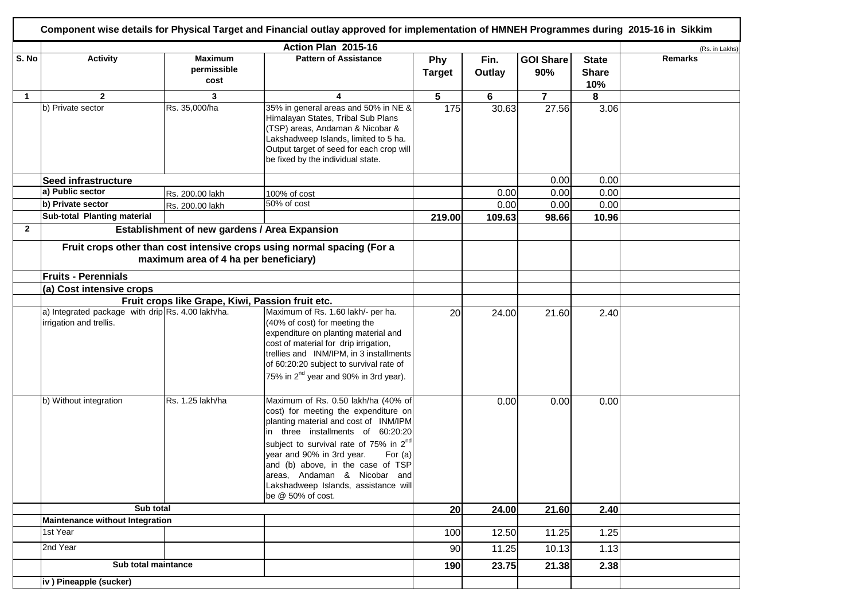|              |                                                                              |                                               | Action Plan 2015-16                                                                                                                                                                                                                                                                                                                                                                          |                      |                |                         |                                     | (Rs. in Lakhs) |
|--------------|------------------------------------------------------------------------------|-----------------------------------------------|----------------------------------------------------------------------------------------------------------------------------------------------------------------------------------------------------------------------------------------------------------------------------------------------------------------------------------------------------------------------------------------------|----------------------|----------------|-------------------------|-------------------------------------|----------------|
| S. No        | <b>Activity</b>                                                              | <b>Maximum</b><br>permissible<br>cost         | <b>Pattern of Assistance</b>                                                                                                                                                                                                                                                                                                                                                                 | Phy<br><b>Target</b> | Fin.<br>Outlay | <b>GOI Share</b><br>90% | <b>State</b><br><b>Share</b><br>10% | <b>Remarks</b> |
| $\mathbf{1}$ | $\mathbf{2}$                                                                 | 3                                             | 4                                                                                                                                                                                                                                                                                                                                                                                            | 5                    | 6              | $\overline{7}$          | 8                                   |                |
|              | b) Private sector                                                            | Rs. 35,000/ha                                 | 35% in general areas and 50% in NE &<br>Himalayan States, Tribal Sub Plans<br>(TSP) areas, Andaman & Nicobar &<br>Lakshadweep Islands, limited to 5 ha.<br>Output target of seed for each crop will<br>be fixed by the individual state.                                                                                                                                                     | 175                  | 30.63          | 27.56                   | 3.06                                |                |
|              | Seed infrastructure                                                          |                                               |                                                                                                                                                                                                                                                                                                                                                                                              |                      |                | 0.00                    | 0.00                                |                |
|              | a) Public sector                                                             | Rs. 200.00 lakh                               | 100% of cost                                                                                                                                                                                                                                                                                                                                                                                 |                      | 0.00           | 0.00                    | 0.00                                |                |
|              | b) Private sector                                                            | Rs. 200.00 lakh                               | 50% of cost                                                                                                                                                                                                                                                                                                                                                                                  |                      | 0.00           | 0.00                    | 0.00                                |                |
|              | Sub-total Planting material                                                  |                                               |                                                                                                                                                                                                                                                                                                                                                                                              | 219.00               | 109.63         | 98.66                   | 10.96                               |                |
| $\mathbf{2}$ |                                                                              | Establishment of new gardens / Area Expansion |                                                                                                                                                                                                                                                                                                                                                                                              |                      |                |                         |                                     |                |
|              |                                                                              | maximum area of 4 ha per beneficiary)         | Fruit crops other than cost intensive crops using normal spacing (For a                                                                                                                                                                                                                                                                                                                      |                      |                |                         |                                     |                |
|              | <b>Fruits - Perennials</b>                                                   |                                               |                                                                                                                                                                                                                                                                                                                                                                                              |                      |                |                         |                                     |                |
|              | (a) Cost intensive crops                                                     |                                               |                                                                                                                                                                                                                                                                                                                                                                                              |                      |                |                         |                                     |                |
|              | Fruit crops like Grape, Kiwi, Passion fruit etc.                             |                                               |                                                                                                                                                                                                                                                                                                                                                                                              |                      |                |                         |                                     |                |
|              | a) Integrated package with drip Rs. 4.00 lakh/ha.<br>irrigation and trellis. |                                               | Maximum of Rs. 1.60 lakh/- per ha.<br>(40% of cost) for meeting the<br>expenditure on planting material and<br>cost of material for drip irrigation,<br>trellies and INM/IPM, in 3 installments<br>of 60:20:20 subject to survival rate of<br>75% in 2 <sup>nd</sup> year and 90% in 3rd year).                                                                                              | 20                   | 24.00          | 21.60                   | 2.40                                |                |
|              | b) Without integration                                                       | Rs. 1.25 lakh/ha                              | Maximum of Rs. 0.50 lakh/ha (40% of<br>cost) for meeting the expenditure on<br>planting material and cost of INM/IPM<br>in three installments of 60:20:20<br>subject to survival rate of 75% in 2 <sup>nd</sup><br>year and 90% in 3rd year.<br>For $(a)$<br>and (b) above, in the case of TSP<br>lareas. Andaman & Nicobar and<br>Lakshadweep Islands, assistance will<br>be @ 50% of cost. |                      | 0.00           | 0.00                    | 0.00                                |                |
|              | Sub total                                                                    |                                               |                                                                                                                                                                                                                                                                                                                                                                                              | 20                   | 24.00          | 21.60                   | 2.40                                |                |
|              | Maintenance without Integration                                              |                                               |                                                                                                                                                                                                                                                                                                                                                                                              |                      |                |                         |                                     |                |
|              | 1st Year                                                                     |                                               |                                                                                                                                                                                                                                                                                                                                                                                              | 100                  | 12.50          | 11.25                   | 1.25                                |                |
|              | 2nd Year                                                                     |                                               |                                                                                                                                                                                                                                                                                                                                                                                              | 90                   | 11.25          | 10.13                   | 1.13                                |                |
|              | Sub total maintance                                                          |                                               |                                                                                                                                                                                                                                                                                                                                                                                              | 190                  | 23.75          | 21.38                   | 2.38                                |                |
|              | iv ) Pineapple (sucker)                                                      |                                               |                                                                                                                                                                                                                                                                                                                                                                                              |                      |                |                         |                                     |                |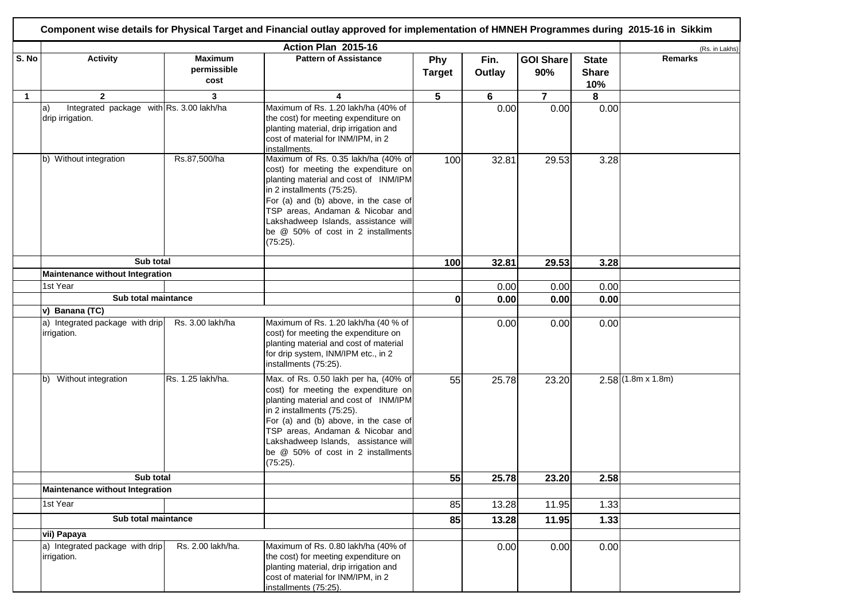|              |                                                                             |                                       | Action Plan 2015-16                                                                                                                                                                                                                                                                                                            |                      |                |                         |                                     | (Rs. in Lakhs)           |
|--------------|-----------------------------------------------------------------------------|---------------------------------------|--------------------------------------------------------------------------------------------------------------------------------------------------------------------------------------------------------------------------------------------------------------------------------------------------------------------------------|----------------------|----------------|-------------------------|-------------------------------------|--------------------------|
| S. No        | <b>Activity</b>                                                             | <b>Maximum</b><br>permissible<br>cost | <b>Pattern of Assistance</b>                                                                                                                                                                                                                                                                                                   | Phy<br><b>Target</b> | Fin.<br>Outlay | <b>GOI Share</b><br>90% | <b>State</b><br><b>Share</b><br>10% | <b>Remarks</b>           |
| $\mathbf{1}$ | $\overline{2}$                                                              | 3                                     | 4                                                                                                                                                                                                                                                                                                                              | 5                    | 6              | $\overline{\mathbf{7}}$ | 8                                   |                          |
|              | Integrated package with Rs. 3.00 lakh/ha<br>$ a\rangle$<br>drip irrigation. |                                       | Maximum of Rs. 1.20 lakh/ha (40% of<br>the cost) for meeting expenditure on<br>planting material, drip irrigation and<br>cost of material for INM/IPM, in 2<br>installments.                                                                                                                                                   |                      | 0.00           | 0.00                    | 0.00                                |                          |
|              | b) Without integration                                                      | Rs.87,500/ha                          | Maximum of Rs. 0.35 lakh/ha (40% of<br>cost) for meeting the expenditure on<br>planting material and cost of INM/IPM<br>in 2 installments (75:25).<br>For (a) and (b) above, in the case of<br>TSP areas, Andaman & Nicobar and<br>Lakshadweep Islands, assistance will<br>be @ 50% of cost in 2 installments<br>(75:25).      | 100                  | 32.81          | 29.53                   | 3.28                                |                          |
|              | Sub total                                                                   |                                       |                                                                                                                                                                                                                                                                                                                                | 100                  | 32.81          | 29.53                   | 3.28                                |                          |
|              | <b>Maintenance without Integration</b>                                      |                                       |                                                                                                                                                                                                                                                                                                                                |                      |                |                         |                                     |                          |
|              | 1st Year                                                                    |                                       |                                                                                                                                                                                                                                                                                                                                |                      | 0.00           | 0.00                    | 0.00                                |                          |
|              | Sub total maintance                                                         |                                       |                                                                                                                                                                                                                                                                                                                                | $\mathbf{0}$         | 0.00           | 0.00                    | 0.00                                |                          |
|              | v) Banana (TC)                                                              |                                       |                                                                                                                                                                                                                                                                                                                                |                      |                |                         |                                     |                          |
|              | a) Integrated package with drip<br>irrigation.                              | Rs. 3.00 lakh/ha                      | Maximum of Rs. 1.20 lakh/ha (40 % of<br>cost) for meeting the expenditure on<br>planting material and cost of material<br>for drip system, INM/IPM etc., in 2<br>installments (75:25).                                                                                                                                         |                      | 0.00           | 0.00                    | 0.00                                |                          |
|              | Without integration<br>lb).                                                 | Rs. 1.25 lakh/ha.                     | Max. of Rs. 0.50 lakh per ha, (40% of<br>cost) for meeting the expenditure on<br>planting material and cost of INM/IPM<br>in 2 installments (75:25).<br>For (a) and (b) above, in the case of<br>TSP areas, Andaman & Nicobar and<br>Lakshadweep Islands, assistance will<br>be @ 50% of cost in 2 installments<br>$(75:25)$ . | 55                   | 25.78          | 23.20                   |                                     | $2.58(1.8m \times 1.8m)$ |
|              | Sub total                                                                   |                                       |                                                                                                                                                                                                                                                                                                                                | 55                   | 25.78          | 23.20                   | 2.58                                |                          |
|              | Maintenance without Integration                                             |                                       |                                                                                                                                                                                                                                                                                                                                |                      |                |                         |                                     |                          |
|              | 1st Year                                                                    |                                       |                                                                                                                                                                                                                                                                                                                                | 85                   | 13.28          | 11.95                   | 1.33                                |                          |
|              | Sub total maintance                                                         |                                       |                                                                                                                                                                                                                                                                                                                                | 85                   | 13.28          | 11.95                   | 1.33                                |                          |
|              | vii) Papaya                                                                 |                                       |                                                                                                                                                                                                                                                                                                                                |                      |                |                         |                                     |                          |
|              | a) Integrated package with drip<br>irrigation.                              | Rs. 2.00 lakh/ha.                     | Maximum of Rs. 0.80 lakh/ha (40% of<br>the cost) for meeting expenditure on<br>planting material, drip irrigation and<br>cost of material for INM/IPM, in 2<br>installments (75:25).                                                                                                                                           |                      | 0.00           | 0.00                    | 0.00                                |                          |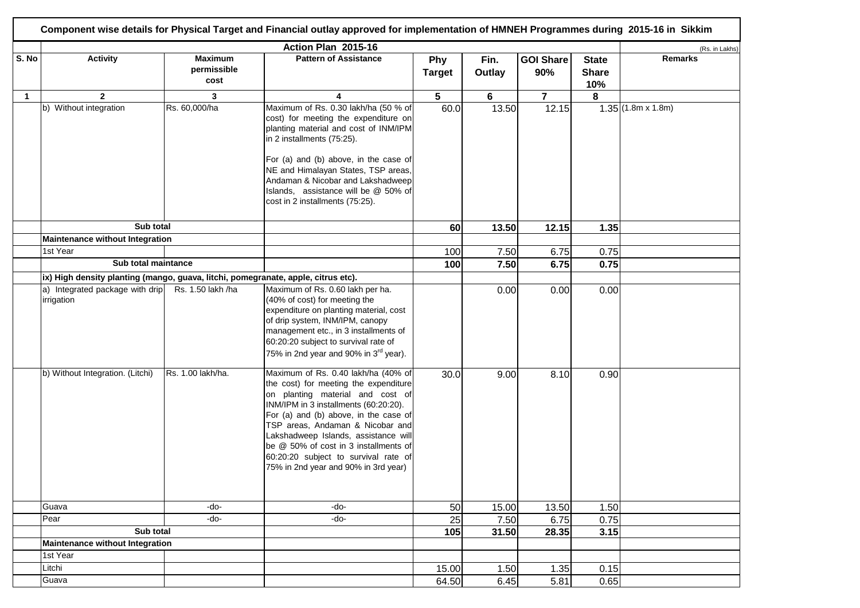|              |                                                                                   |                                       | Action Plan 2015-16                                                                                                                                                                                                                                                                                                                                                                                     |                      |                |                         |                                     | (Rs. in Lakhs)           |
|--------------|-----------------------------------------------------------------------------------|---------------------------------------|---------------------------------------------------------------------------------------------------------------------------------------------------------------------------------------------------------------------------------------------------------------------------------------------------------------------------------------------------------------------------------------------------------|----------------------|----------------|-------------------------|-------------------------------------|--------------------------|
| S. No        | <b>Activity</b>                                                                   | <b>Maximum</b><br>permissible<br>cost | <b>Pattern of Assistance</b>                                                                                                                                                                                                                                                                                                                                                                            | Phy<br><b>Target</b> | Fin.<br>Outlay | <b>GOI Share</b><br>90% | <b>State</b><br><b>Share</b><br>10% | <b>Remarks</b>           |
| $\mathbf{1}$ | $\overline{2}$                                                                    | 3                                     | 4                                                                                                                                                                                                                                                                                                                                                                                                       | $5\phantom{.0}$      | 6              | $\overline{7}$          | 8                                   |                          |
|              | b) Without integration                                                            | Rs. 60,000/ha                         | Maximum of Rs. 0.30 lakh/ha (50 % of<br>cost) for meeting the expenditure on<br>planting material and cost of INM/IPM<br>in 2 installments (75:25).<br>For (a) and (b) above, in the case of<br>NE and Himalayan States, TSP areas,<br>Andaman & Nicobar and Lakshadweep<br>Islands, assistance will be @ 50% of<br>cost in 2 installments (75:25).                                                     | 60.0                 | 13.50          | 12.15                   |                                     | $1.35(1.8m \times 1.8m)$ |
|              | Sub total                                                                         |                                       |                                                                                                                                                                                                                                                                                                                                                                                                         | 60                   | 13.50          | 12.15                   | 1.35                                |                          |
|              | Maintenance without Integration                                                   |                                       |                                                                                                                                                                                                                                                                                                                                                                                                         |                      |                |                         |                                     |                          |
|              | 1st Year                                                                          |                                       |                                                                                                                                                                                                                                                                                                                                                                                                         | 100                  | 7.50           | 6.75                    | 0.75                                |                          |
|              | Sub total maintance                                                               |                                       |                                                                                                                                                                                                                                                                                                                                                                                                         | 100                  | 7.50           | 6.75                    | 0.75                                |                          |
|              | ix) High density planting (mango, guava, litchi, pomegranate, apple, citrus etc). |                                       |                                                                                                                                                                                                                                                                                                                                                                                                         |                      |                |                         |                                     |                          |
|              | a) Integrated package with drip<br>irrigation                                     | Rs. 1.50 lakh /ha                     | Maximum of Rs. 0.60 lakh per ha.<br>(40% of cost) for meeting the<br>expenditure on planting material, cost<br>of drip system, INM/IPM, canopy<br>management etc., in 3 installments of<br>60:20:20 subject to survival rate of<br>75% in 2nd year and 90% in 3 <sup>rd</sup> year).                                                                                                                    |                      | 0.00           | 0.00                    | 0.00                                |                          |
|              | b) Without Integration. (Litchi)                                                  | Rs. 1.00 lakh/ha.                     | Maximum of Rs. 0.40 lakh/ha (40% of<br>the cost) for meeting the expenditure<br>on planting material and cost of<br>INM/IPM in 3 installments (60:20:20).<br>For (a) and (b) above, in the case of<br>TSP areas, Andaman & Nicobar and<br>Lakshadweep Islands, assistance will<br>be @ 50% of cost in 3 installments of<br>60:20:20 subject to survival rate of<br>75% in 2nd year and 90% in 3rd year) | 30.0                 | 9.00           | 8.10                    | 0.90                                |                          |
|              | Guava                                                                             | -do-                                  | -do-                                                                                                                                                                                                                                                                                                                                                                                                    | 50                   | 15.00          | 13.50                   | 1.50                                |                          |
|              | Pear                                                                              | -do-                                  | -do-                                                                                                                                                                                                                                                                                                                                                                                                    | 25                   | 7.50           | 6.75                    | 0.75                                |                          |
|              | Sub total                                                                         |                                       |                                                                                                                                                                                                                                                                                                                                                                                                         | 105                  | 31.50          | 28.35                   | 3.15                                |                          |
|              | Maintenance without Integration                                                   |                                       |                                                                                                                                                                                                                                                                                                                                                                                                         |                      |                |                         |                                     |                          |
|              | 1st Year                                                                          |                                       |                                                                                                                                                                                                                                                                                                                                                                                                         |                      |                |                         |                                     |                          |
|              | Litchi                                                                            |                                       |                                                                                                                                                                                                                                                                                                                                                                                                         | 15.00                | 1.50           | 1.35                    | 0.15                                |                          |
|              | Guava                                                                             |                                       |                                                                                                                                                                                                                                                                                                                                                                                                         | 64.50                | 6.45           | 5.81                    | 0.65                                |                          |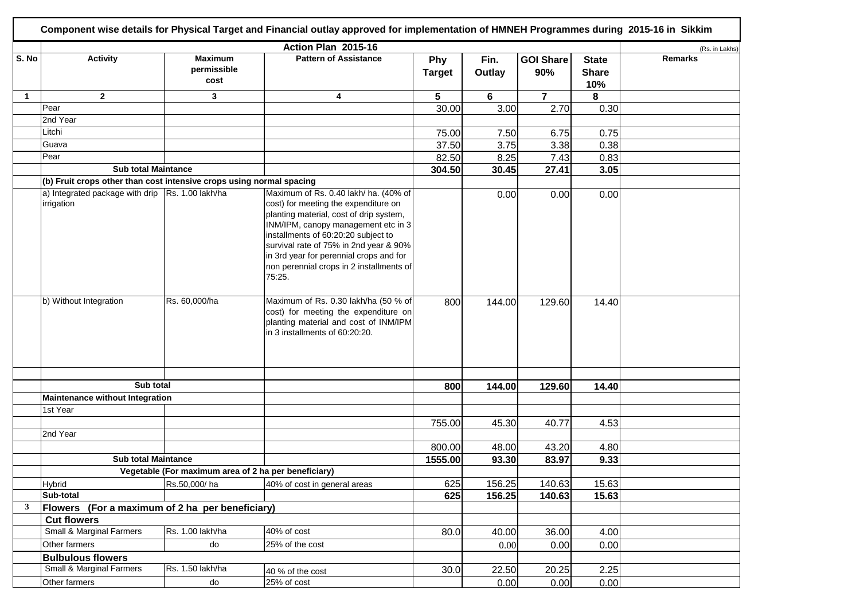|              |                                                                      |                                                      | Action Plan 2015-16                                                                                                                                                                                                                                                                                                                               |                      |                |                         |                                     | (Rs. in Lakhs) |
|--------------|----------------------------------------------------------------------|------------------------------------------------------|---------------------------------------------------------------------------------------------------------------------------------------------------------------------------------------------------------------------------------------------------------------------------------------------------------------------------------------------------|----------------------|----------------|-------------------------|-------------------------------------|----------------|
| S. No        | <b>Activity</b>                                                      | <b>Maximum</b><br>permissible<br>cost                | <b>Pattern of Assistance</b>                                                                                                                                                                                                                                                                                                                      | Phy<br><b>Target</b> | Fin.<br>Outlay | <b>GOI Share</b><br>90% | <b>State</b><br><b>Share</b><br>10% | <b>Remarks</b> |
| 1            | $\mathbf{2}$                                                         | 3                                                    | 4                                                                                                                                                                                                                                                                                                                                                 | 5                    | 6              | $\overline{7}$          | 8                                   |                |
|              | Pear                                                                 |                                                      |                                                                                                                                                                                                                                                                                                                                                   | 30.00                | 3.00           | 2.70                    | 0.30                                |                |
|              | 2nd Year                                                             |                                                      |                                                                                                                                                                                                                                                                                                                                                   |                      |                |                         |                                     |                |
|              | Litchi                                                               |                                                      |                                                                                                                                                                                                                                                                                                                                                   | 75.00                | 7.50           | 6.75                    | 0.75                                |                |
|              | Guava                                                                |                                                      |                                                                                                                                                                                                                                                                                                                                                   | 37.50                | 3.75           | 3.38                    | 0.38                                |                |
|              | Pear                                                                 |                                                      |                                                                                                                                                                                                                                                                                                                                                   | 82.50                | 8.25           | 7.43                    | 0.83                                |                |
|              | <b>Sub total Maintance</b>                                           |                                                      |                                                                                                                                                                                                                                                                                                                                                   | 304.50               | 30.45          | 27.41                   | 3.05                                |                |
|              | (b) Fruit crops other than cost intensive crops using normal spacing |                                                      |                                                                                                                                                                                                                                                                                                                                                   |                      |                |                         |                                     |                |
|              | a) Integrated package with drip   Rs. 1.00 lakh/ha<br>irrigation     |                                                      | Maximum of Rs. 0.40 lakh/ ha. (40% of<br>cost) for meeting the expenditure on<br>planting material, cost of drip system,<br>INM/IPM, canopy management etc in 3<br>installments of 60:20:20 subject to<br>survival rate of 75% in 2nd year & 90%<br>in 3rd year for perennial crops and for<br>non perennial crops in 2 installments of<br>75:25. |                      | 0.00           | 0.00                    | 0.00                                |                |
|              | b) Without Integration                                               | Rs. 60,000/ha                                        | Maximum of Rs. 0.30 lakh/ha (50 % of<br>cost) for meeting the expenditure on<br>planting material and cost of INM/IPM<br>in 3 installments of 60:20:20.                                                                                                                                                                                           | 800                  | 144.00         | 129.60                  | 14.40                               |                |
|              |                                                                      |                                                      |                                                                                                                                                                                                                                                                                                                                                   |                      |                |                         |                                     |                |
|              | Sub total                                                            |                                                      |                                                                                                                                                                                                                                                                                                                                                   | 800                  | 144.00         | 129.60                  | 14.40                               |                |
|              | Maintenance without Integration                                      |                                                      |                                                                                                                                                                                                                                                                                                                                                   |                      |                |                         |                                     |                |
|              | 1st Year                                                             |                                                      |                                                                                                                                                                                                                                                                                                                                                   |                      |                |                         |                                     |                |
|              |                                                                      |                                                      |                                                                                                                                                                                                                                                                                                                                                   | 755.00               | 45.30          | 40.77                   | 4.53                                |                |
|              | 2nd Year                                                             |                                                      |                                                                                                                                                                                                                                                                                                                                                   |                      |                |                         |                                     |                |
|              |                                                                      |                                                      |                                                                                                                                                                                                                                                                                                                                                   | 800.00               | 48.00          | 43.20                   | 4.80                                |                |
|              | <b>Sub total Maintance</b>                                           |                                                      |                                                                                                                                                                                                                                                                                                                                                   | 1555.00              | 93.30          | 83.97                   | 9.33                                |                |
|              |                                                                      | Vegetable (For maximum area of 2 ha per beneficiary) |                                                                                                                                                                                                                                                                                                                                                   |                      |                |                         |                                     |                |
|              | <b>Hybrid</b>                                                        | Rs.50,000/ha                                         | 40% of cost in general areas                                                                                                                                                                                                                                                                                                                      | 625                  | 156.25         | 140.63                  | 15.63                               |                |
|              | Sub-total                                                            |                                                      |                                                                                                                                                                                                                                                                                                                                                   | 625                  | 156.25         | 140.63                  | 15.63                               |                |
| $\mathbf{3}$ | Flowers (For a maximum of 2 ha per beneficiary)                      |                                                      |                                                                                                                                                                                                                                                                                                                                                   |                      |                |                         |                                     |                |
|              | <b>Cut flowers</b>                                                   |                                                      |                                                                                                                                                                                                                                                                                                                                                   |                      |                |                         |                                     |                |
|              | <b>Small &amp; Marginal Farmers</b>                                  | Rs. 1.00 lakh/ha                                     | 40% of cost                                                                                                                                                                                                                                                                                                                                       | 80.0                 | 40.00          | 36.00                   | 4.00                                |                |
|              | Other farmers                                                        | d <sub>O</sub>                                       | 25% of the cost                                                                                                                                                                                                                                                                                                                                   |                      | 0.00           | 0.00                    | 0.00                                |                |
|              | <b>Bulbulous flowers</b>                                             |                                                      |                                                                                                                                                                                                                                                                                                                                                   |                      |                |                         |                                     |                |
|              | Small & Marginal Farmers                                             | Rs. 1.50 lakh/ha                                     | 40 % of the cost                                                                                                                                                                                                                                                                                                                                  | 30.0                 | 22.50          | 20.25                   | 2.25                                |                |
|              | Other farmers                                                        | do                                                   | 25% of cost                                                                                                                                                                                                                                                                                                                                       |                      | 0.00           | 0.00                    | 0.00                                |                |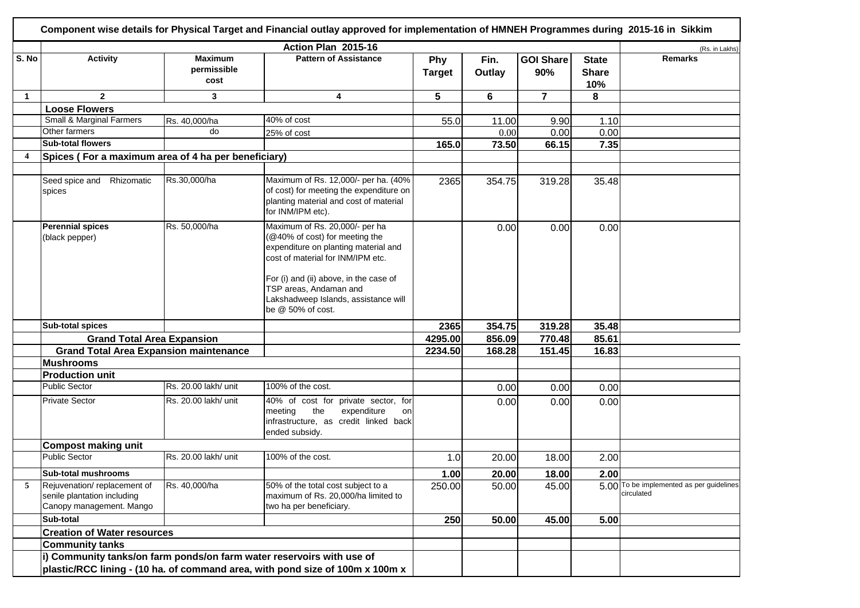| S. No          | <b>Activity</b>                                                                        |                                       |                                                                                                                                                                                                                   |                      |                |                         |                                     | (Rs. in Lakhs)                                         |
|----------------|----------------------------------------------------------------------------------------|---------------------------------------|-------------------------------------------------------------------------------------------------------------------------------------------------------------------------------------------------------------------|----------------------|----------------|-------------------------|-------------------------------------|--------------------------------------------------------|
|                |                                                                                        | <b>Maximum</b><br>permissible<br>cost | <b>Pattern of Assistance</b>                                                                                                                                                                                      | Phy<br><b>Target</b> | Fin.<br>Outlay | <b>GOI Share</b><br>90% | <b>State</b><br><b>Share</b><br>10% | <b>Remarks</b>                                         |
| $\mathbf{1}$   | $\mathbf{2}$                                                                           | 3                                     | 4                                                                                                                                                                                                                 | 5                    | 6              | $\overline{\mathbf{r}}$ | 8                                   |                                                        |
|                | <b>Loose Flowers</b>                                                                   |                                       |                                                                                                                                                                                                                   |                      |                |                         |                                     |                                                        |
|                | Small & Marginal Farmers                                                               | Rs. 40,000/ha                         | 40% of cost                                                                                                                                                                                                       | 55.0                 | 11.00          | 9.90                    | 1.10                                |                                                        |
|                | Other farmers                                                                          | do                                    | 25% of cost                                                                                                                                                                                                       |                      | 0.00           | 0.00                    | 0.00                                |                                                        |
|                | Sub-total flowers                                                                      |                                       |                                                                                                                                                                                                                   | 165.0                | 73.50          | 66.15                   | 7.35                                |                                                        |
| $\overline{4}$ | Spices (For a maximum area of 4 ha per beneficiary)                                    |                                       |                                                                                                                                                                                                                   |                      |                |                         |                                     |                                                        |
|                |                                                                                        |                                       |                                                                                                                                                                                                                   |                      |                |                         |                                     |                                                        |
|                | Seed spice and Rhizomatic<br>spices                                                    | Rs.30,000/ha                          | Maximum of Rs. 12,000/- per ha. (40%<br>of cost) for meeting the expenditure on<br>planting material and cost of material<br>for INM/IPM etc).                                                                    | 2365                 | 354.75         | 319.28                  | 35.48                               |                                                        |
|                | <b>Perennial spices</b><br>(black pepper)                                              | Rs. 50,000/ha                         | Maximum of Rs. 20,000/- per ha<br>(@40% of cost) for meeting the<br>expenditure on planting material and<br>cost of material for INM/IPM etc.<br>For (i) and (ii) above, in the case of<br>TSP areas, Andaman and |                      | 0.00           | 0.00                    | 0.00                                |                                                        |
|                |                                                                                        |                                       | Lakshadweep Islands, assistance will<br>be @ 50% of cost.                                                                                                                                                         |                      |                |                         |                                     |                                                        |
|                | <b>Sub-total spices</b>                                                                |                                       |                                                                                                                                                                                                                   | 2365                 | 354.75         | 319.28                  | 35.48                               |                                                        |
|                | <b>Grand Total Area Expansion</b>                                                      |                                       |                                                                                                                                                                                                                   | 4295.00              | 856.09         | 770.48                  | 85.61                               |                                                        |
|                | <b>Grand Total Area Expansion maintenance</b>                                          |                                       |                                                                                                                                                                                                                   | 2234.50              | 168.28         | 151.45                  | 16.83                               |                                                        |
|                | <b>Mushrooms</b>                                                                       |                                       |                                                                                                                                                                                                                   |                      |                |                         |                                     |                                                        |
|                | <b>Production unit</b><br><b>Public Sector</b>                                         | Rs. 20.00 lakh/ unit                  | 100% of the cost.                                                                                                                                                                                                 |                      |                |                         |                                     |                                                        |
|                |                                                                                        |                                       |                                                                                                                                                                                                                   |                      | 0.00           | 0.00                    | 0.00                                |                                                        |
|                | <b>Private Sector</b>                                                                  | Rs. 20.00 lakh/ unit                  | 40% of cost for private sector, for<br>meeting<br>the<br>expenditure<br>on<br>infrastructure, as credit linked back<br>ended subsidy.                                                                             |                      | 0.00           | 0.00                    | 0.00                                |                                                        |
|                | <b>Compost making unit</b>                                                             |                                       |                                                                                                                                                                                                                   |                      |                |                         |                                     |                                                        |
|                | <b>Public Sector</b>                                                                   | Rs. 20.00 lakh/ unit                  | 100% of the cost.                                                                                                                                                                                                 | 1.0                  | 20.00          | 18.00                   | 2.00                                |                                                        |
|                | Sub-total mushrooms                                                                    |                                       |                                                                                                                                                                                                                   | 1.00                 | 20.00          | 18.00                   | 2.00                                |                                                        |
| 5              | Rejuvenation/replacement of<br>senile plantation including<br>Canopy management. Mango | Rs. 40,000/ha                         | 50% of the total cost subject to a<br>maximum of Rs. 20,000/ha limited to<br>two ha per beneficiary.                                                                                                              | 250.00               | 50.00          | 45.00                   |                                     | 5.00 To be implemented as per guidelines<br>circulated |
|                | Sub-total                                                                              |                                       |                                                                                                                                                                                                                   | 250                  | 50.00          | 45.00                   | 5.00                                |                                                        |
|                | <b>Creation of Water resources</b>                                                     |                                       |                                                                                                                                                                                                                   |                      |                |                         |                                     |                                                        |
|                | <b>Community tanks</b>                                                                 |                                       |                                                                                                                                                                                                                   |                      |                |                         |                                     |                                                        |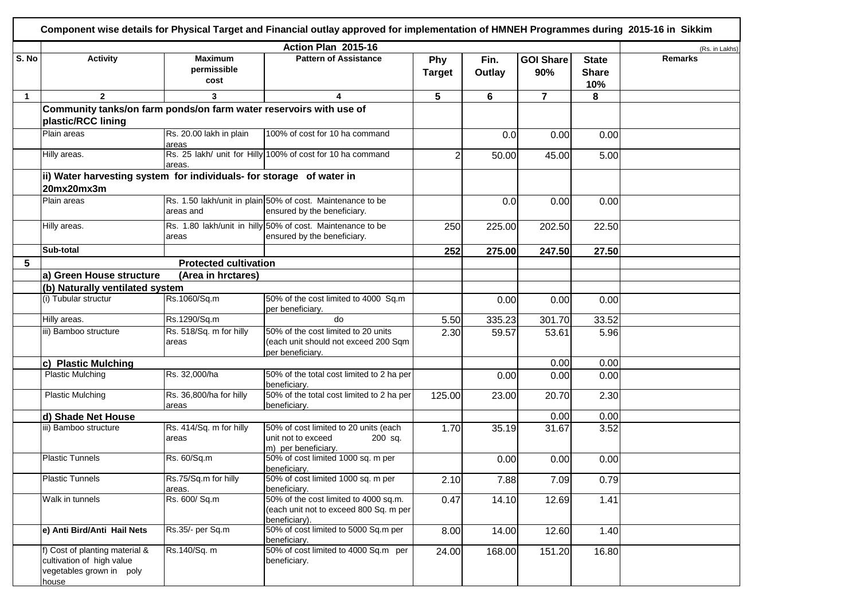|              |                                                                                                  |                                       | Component wise details for Physical Target and Financial outlay approved for implementation of HMNEH Programmes during 2015-16 in Sikkim |                             |                |                         |                                     |                |
|--------------|--------------------------------------------------------------------------------------------------|---------------------------------------|------------------------------------------------------------------------------------------------------------------------------------------|-----------------------------|----------------|-------------------------|-------------------------------------|----------------|
|              |                                                                                                  |                                       | Action Plan 2015-16                                                                                                                      |                             |                |                         |                                     | (Rs. in Lakhs) |
| S. No        | <b>Activity</b>                                                                                  | <b>Maximum</b><br>permissible<br>cost | <b>Pattern of Assistance</b>                                                                                                             | <b>Phy</b><br><b>Target</b> | Fin.<br>Outlay | <b>GOI Share</b><br>90% | <b>State</b><br><b>Share</b><br>10% | <b>Remarks</b> |
| $\mathbf{1}$ | $\overline{2}$                                                                                   | 3                                     | 4                                                                                                                                        | 5                           | 6              | $\overline{\mathbf{r}}$ | 8                                   |                |
|              | Community tanks/on farm ponds/on farm water reservoirs with use of                               |                                       |                                                                                                                                          |                             |                |                         |                                     |                |
|              | plastic/RCC lining                                                                               |                                       |                                                                                                                                          |                             |                |                         |                                     |                |
|              | Plain areas                                                                                      | Rs. 20.00 lakh in plain<br>areas      | 100% of cost for 10 ha command                                                                                                           |                             | 0.0            | 0.00                    | 0.00                                |                |
|              | Hilly areas.                                                                                     | areas.                                | Rs. 25 lakh/ unit for Hilly 100% of cost for 10 ha command                                                                               | 2                           | 50.00          | 45.00                   | 5.00                                |                |
|              | ii) Water harvesting system for individuals- for storage of water in                             |                                       |                                                                                                                                          |                             |                |                         |                                     |                |
|              | 20mx20mx3m                                                                                       |                                       |                                                                                                                                          |                             |                |                         |                                     |                |
|              | Plain areas                                                                                      | areas and                             | Rs. 1.50 lakh/unit in plain 50% of cost. Maintenance to be<br>ensured by the beneficiary.                                                |                             | 0.0            | 0.00                    | 0.00                                |                |
|              | Hilly areas.                                                                                     | areas                                 | Rs. 1.80 lakh/unit in hilly 50% of cost. Maintenance to be<br>ensured by the beneficiary.                                                | 250                         | 225.00         | 202.50                  | 22.50                               |                |
|              | Sub-total                                                                                        |                                       |                                                                                                                                          | 252                         | 275.00         | 247.50                  | 27.50                               |                |
| 5            |                                                                                                  | <b>Protected cultivation</b>          |                                                                                                                                          |                             |                |                         |                                     |                |
|              | a) Green House structure                                                                         | (Area in hrctares)                    |                                                                                                                                          |                             |                |                         |                                     |                |
|              | (b) Naturally ventilated system                                                                  |                                       |                                                                                                                                          |                             |                |                         |                                     |                |
|              | (i) Tubular structur                                                                             | Rs.1060/Sq.m                          | 50% of the cost limited to 4000 Sq.m<br>per beneficiary.                                                                                 |                             | 0.00           | 0.00                    | 0.00                                |                |
|              | Hilly areas.                                                                                     | Rs.1290/Sq.m                          | do                                                                                                                                       | 5.50                        | 335.23         | 301.70                  | 33.52                               |                |
|              | iii) Bamboo structure                                                                            | Rs. 518/Sq. m for hilly<br>areas      | 50% of the cost limited to 20 units<br>(each unit should not exceed 200 Sqm<br>per beneficiary.                                          | 2.30                        | 59.57          | 53.61                   | 5.96                                |                |
|              | c) Plastic Mulching                                                                              |                                       |                                                                                                                                          |                             |                | 0.00                    | 0.00                                |                |
|              | <b>Plastic Mulching</b>                                                                          | Rs. 32,000/ha                         | 50% of the total cost limited to 2 ha per<br>beneficiary.                                                                                |                             | 0.00           | 0.00                    | 0.00                                |                |
|              | <b>Plastic Mulching</b>                                                                          | Rs. 36,800/ha for hilly<br>areas      | 50% of the total cost limited to 2 ha per<br>beneficiary.                                                                                | 125.00                      | 23.00          | 20.70                   | 2.30                                |                |
|              | d) Shade Net House                                                                               |                                       |                                                                                                                                          |                             |                | 0.00                    | 0.00                                |                |
|              | iii) Bamboo structure                                                                            | Rs. 414/Sq. m for hilly<br>areas      | 50% of cost limited to 20 units (each<br>unit not to exceed<br>200 sq.<br>m) per beneficiary.                                            | 1.70                        | 35.19          | 31.67                   | 3.52                                |                |
|              | <b>Plastic Tunnels</b>                                                                           | Rs. 60/Sq.m                           | 50% of cost limited 1000 sq. m per<br>beneficiary.                                                                                       |                             | 0.00           | 0.00                    | 0.00                                |                |
|              | <b>Plastic Tunnels</b>                                                                           | Rs.75/Sq.m for hilly<br>areas.        | 50% of cost limited 1000 sq. m per<br>beneficiary.                                                                                       | 2.10                        | 7.88           | 7.09                    | 0.79                                |                |
|              | Walk in tunnels                                                                                  | Rs. 600/ Sq.m                         | 50% of the cost limited to 4000 sq.m.<br>(each unit not to exceed 800 Sq. m per<br>beneficiary).                                         | 0.47                        | 14.10          | 12.69                   | 1.41                                |                |
|              | e) Anti Bird/Anti Hail Nets                                                                      | Rs.35/- per Sq.m                      | 50% of cost limited to 5000 Sq.m per<br>beneficiary.                                                                                     | 8.00                        | 14.00          | 12.60                   | 1.40                                |                |
|              | f) Cost of planting material &<br>cultivation of high value<br>vegetables grown in poly<br>house | Rs.140/Sq. m                          | 50% of cost limited to 4000 Sq.m per<br>beneficiary.                                                                                     | 24.00                       | 168.00         | 151.20                  | 16.80                               |                |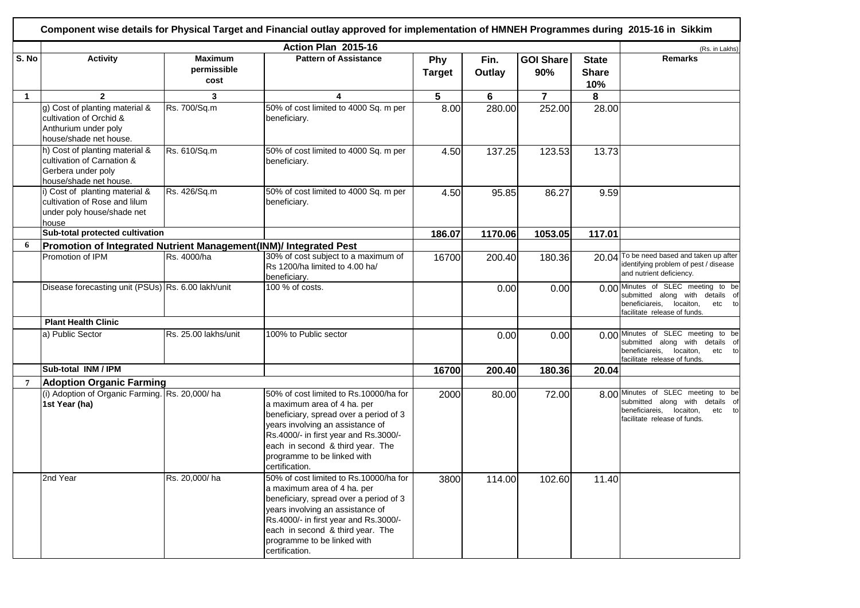|              |                                                                                                              |                                       | Action Plan 2015-16                                                                                                                                                                                                                                                               |                      |                |                         |                                     | (Rs. in Lakhs)                                                                                                                              |
|--------------|--------------------------------------------------------------------------------------------------------------|---------------------------------------|-----------------------------------------------------------------------------------------------------------------------------------------------------------------------------------------------------------------------------------------------------------------------------------|----------------------|----------------|-------------------------|-------------------------------------|---------------------------------------------------------------------------------------------------------------------------------------------|
| S. No        | <b>Activity</b>                                                                                              | <b>Maximum</b><br>permissible<br>cost | <b>Pattern of Assistance</b>                                                                                                                                                                                                                                                      | Phy<br><b>Target</b> | Fin.<br>Outlay | <b>GOI Share</b><br>90% | <b>State</b><br><b>Share</b><br>10% | <b>Remarks</b>                                                                                                                              |
| $\mathbf{1}$ | $\mathbf{2}$                                                                                                 | 3                                     | 4                                                                                                                                                                                                                                                                                 | 5                    | 6              | $\overline{7}$          | 8                                   |                                                                                                                                             |
|              | g) Cost of planting material &<br>cultivation of Orchid &<br>Anthurium under poly<br>house/shade net house.  | Rs. 700/Sq.m                          | 50% of cost limited to 4000 Sq. m per<br>beneficiary.                                                                                                                                                                                                                             | 8.00                 | 280.00         | 252.00                  | 28.00                               |                                                                                                                                             |
|              | h) Cost of planting material &<br>cultivation of Carnation &<br>Gerbera under poly<br>house/shade net house. | Rs. 610/Sq.m                          | 50% of cost limited to 4000 Sq. m per<br>beneficiary.                                                                                                                                                                                                                             | 4.50                 | 137.25         | 123.53                  | 13.73                               |                                                                                                                                             |
|              | i) Cost of planting material &<br>cultivation of Rose and lilum<br>under poly house/shade net<br>house       | Rs. 426/Sq.m                          | 50% of cost limited to 4000 Sq. m per<br>beneficiary.                                                                                                                                                                                                                             | 4.50                 | 95.85          | 86.27                   | 9.59                                |                                                                                                                                             |
|              | Sub-total protected cultivation                                                                              |                                       |                                                                                                                                                                                                                                                                                   | 186.07               | 1170.06        | 1053.05                 | 117.01                              |                                                                                                                                             |
| 6            | Promotion of Integrated Nutrient Management(INM)/ Integrated Pest                                            |                                       |                                                                                                                                                                                                                                                                                   |                      |                |                         |                                     |                                                                                                                                             |
|              | Promotion of IPM                                                                                             | Rs. 4000/ha                           | 30% of cost subject to a maximum of<br>Rs 1200/ha limited to 4.00 ha/<br>beneficiary.                                                                                                                                                                                             | 16700                | 200.40         | 180.36                  | 20.04                               | To be need based and taken up after<br>identifying problem of pest / disease<br>and nutrient deficiency.                                    |
|              | Disease forecasting unit (PSUs) Rs. 6.00 lakh/unit                                                           |                                       | 100 % of costs.                                                                                                                                                                                                                                                                   |                      | 0.00           | 0.00                    |                                     | 0.00 Minutes of SLEC meeting to be<br>submitted along with details of<br>beneficiareis, locaiton,<br>etc to<br>facilitate release of funds. |
|              | <b>Plant Health Clinic</b>                                                                                   |                                       |                                                                                                                                                                                                                                                                                   |                      |                |                         |                                     |                                                                                                                                             |
|              | a) Public Sector                                                                                             | Rs. 25.00 lakhs/unit                  | 100% to Public sector                                                                                                                                                                                                                                                             |                      | 0.00           | 0.00                    |                                     | 0.00 Minutes of SLEC meeting to be<br>submitted along with details of<br>beneficiareis, locaiton,<br>etc to<br>facilitate release of funds. |
|              | Sub-total INM / IPM                                                                                          |                                       |                                                                                                                                                                                                                                                                                   | 16700                | 200.40         | 180.36                  | 20.04                               |                                                                                                                                             |
| 7            | <b>Adoption Organic Farming</b>                                                                              |                                       |                                                                                                                                                                                                                                                                                   |                      |                |                         |                                     |                                                                                                                                             |
|              | (i) Adoption of Organic Farming. Rs. 20,000/ha<br>1st Year (ha)                                              |                                       | 50% of cost limited to Rs.10000/ha for<br>a maximum area of 4 ha. per<br>beneficiary, spread over a period of 3<br>years involving an assistance of<br>Rs.4000/- in first year and Rs.3000/-<br>each in second & third year. The<br>programme to be linked with<br>certification. | 2000                 | 80.00          | 72.00                   |                                     | 8.00 Minutes of SLEC meeting to be<br>submitted along with details of<br>beneficiareis, locaiton,<br>etc to<br>facilitate release of funds. |
|              | 2nd Year                                                                                                     | Rs. 20,000/ha                         | 50% of cost limited to Rs.10000/ha for<br>a maximum area of 4 ha. per<br>beneficiary, spread over a period of 3<br>years involving an assistance of<br>Rs.4000/- in first year and Rs.3000/-<br>each in second & third year. The<br>programme to be linked with<br>certification. | 3800                 | 114.00         | 102.60                  | 11.40                               |                                                                                                                                             |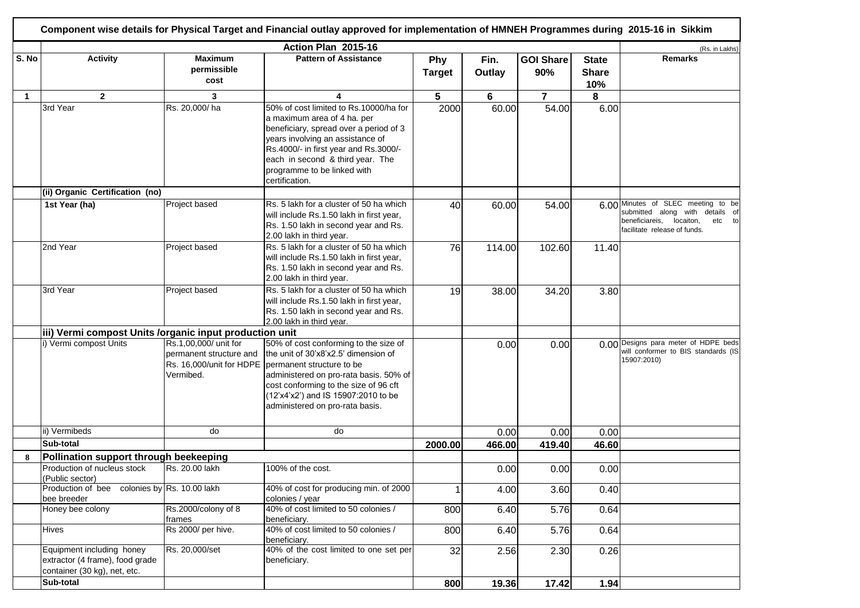|              |                                                                                              |                                                               | Component wise details for Physical Target and Financial outlay approved for implementation of HMNEH Programmes during 2015-16 in Sikkim                                                                                                                                                           |                      |                |                         |                                     |                                                                                                                                                |
|--------------|----------------------------------------------------------------------------------------------|---------------------------------------------------------------|----------------------------------------------------------------------------------------------------------------------------------------------------------------------------------------------------------------------------------------------------------------------------------------------------|----------------------|----------------|-------------------------|-------------------------------------|------------------------------------------------------------------------------------------------------------------------------------------------|
| S. No        | <b>Activity</b>                                                                              | <b>Maximum</b><br>permissible<br>cost                         | Action Plan 2015-16<br><b>Pattern of Assistance</b>                                                                                                                                                                                                                                                | Phy<br><b>Target</b> | Fin.<br>Outlay | <b>GOI Share</b><br>90% | <b>State</b><br><b>Share</b><br>10% | (Rs. in Lakhs)<br><b>Remarks</b>                                                                                                               |
| $\mathbf{1}$ | $\mathbf{2}$                                                                                 | 3                                                             | 4                                                                                                                                                                                                                                                                                                  | 5                    | 6              | $\overline{\mathbf{r}}$ | 8                                   |                                                                                                                                                |
|              | 3rd Year                                                                                     | Rs. 20,000/ha                                                 | 50% of cost limited to Rs.10000/ha for<br>a maximum area of 4 ha. per<br>beneficiary, spread over a period of 3<br>years involving an assistance of<br>Rs.4000/- in first year and Rs.3000/-<br>each in second & third year. The<br>programme to be linked with<br>certification.                  | 2000                 | 60.00          | 54.00                   | 6.00                                |                                                                                                                                                |
|              | (ii) Organic Certification (no)                                                              |                                                               |                                                                                                                                                                                                                                                                                                    |                      |                |                         |                                     |                                                                                                                                                |
|              | 1st Year (ha)                                                                                | Project based                                                 | Rs. 5 lakh for a cluster of 50 ha which<br>will include Rs.1.50 lakh in first year,<br>Rs. 1.50 lakh in second year and Rs.<br>2.00 lakh in third year.                                                                                                                                            | 40                   | 60.00          | 54.00                   |                                     | 6.00 Minutes of SLEC meeting to be<br>submitted along with details of<br>beneficiareis,<br>locaiton,<br>etc to<br>facilitate release of funds. |
|              | 2nd Year                                                                                     | Project based                                                 | Rs. 5 lakh for a cluster of 50 ha which<br>will include Rs.1.50 lakh in first year,<br>Rs. 1.50 lakh in second year and Rs.<br>2.00 lakh in third year.                                                                                                                                            | 76                   | 114.00         | 102.60                  | 11.40                               |                                                                                                                                                |
|              | 3rd Year                                                                                     | Project based                                                 | Rs. 5 lakh for a cluster of 50 ha which<br>will include Rs.1.50 lakh in first year,<br>Rs. 1.50 lakh in second year and Rs.<br>2.00 lakh in third year.                                                                                                                                            | 19                   | 38.00          | 34.20                   | 3.80                                |                                                                                                                                                |
|              | iii) Vermi compost Units /organic input production unit                                      |                                                               |                                                                                                                                                                                                                                                                                                    |                      |                |                         |                                     |                                                                                                                                                |
|              | i) Vermi compost Units                                                                       | Rs.1,00,000/ unit for<br>permanent structure and<br>Vermibed. | 50% of cost conforming to the size of<br>the unit of 30'x8'x2.5' dimension of<br>Rs. 16,000/unit for HDPE   permanent structure to be<br>administered on pro-rata basis. 50% of<br>cost conforming to the size of 96 cft<br>(12'x4'x2') and IS 15907:2010 to be<br>administered on pro-rata basis. |                      | 0.00           | 0.00                    |                                     | 0.00 Designs para meter of HDPE beds<br>will conformer to BIS standards (IS<br>15907:2010)                                                     |
|              | ii) Vermibeds                                                                                | do                                                            | do                                                                                                                                                                                                                                                                                                 |                      | 0.00           | 0.00                    | 0.00                                |                                                                                                                                                |
|              | Sub-total                                                                                    |                                                               |                                                                                                                                                                                                                                                                                                    | 2000.00              | 466.00         | 419.40                  | 46.60                               |                                                                                                                                                |
| 8            | Pollination support through beekeeping                                                       |                                                               |                                                                                                                                                                                                                                                                                                    |                      |                |                         |                                     |                                                                                                                                                |
|              | Production of nucleus stock<br>(Public sector)                                               | Rs. 20.00 lakh                                                | 100% of the cost.                                                                                                                                                                                                                                                                                  |                      | 0.00           | 0.00                    | 0.00                                |                                                                                                                                                |
|              | Production of bee colonies by Rs. 10.00 lakh<br>bee breeder                                  |                                                               | 40% of cost for producing min. of 2000<br>colonies / year                                                                                                                                                                                                                                          | 1                    | 4.00           | 3.60                    | 0.40                                |                                                                                                                                                |
|              | Honey bee colony                                                                             | Rs.2000/colony of 8<br>frames                                 | 40% of cost limited to 50 colonies /<br>beneficiary.                                                                                                                                                                                                                                               | 800                  | 6.40           | 5.76                    | 0.64                                |                                                                                                                                                |
|              | Hives                                                                                        | Rs 2000/ per hive.                                            | 40% of cost limited to 50 colonies /<br>beneficiary.                                                                                                                                                                                                                                               | 800                  | 6.40           | 5.76                    | 0.64                                |                                                                                                                                                |
|              | Equipment including honey<br>extractor (4 frame), food grade<br>container (30 kg), net, etc. | Rs. 20,000/set                                                | 40% of the cost limited to one set per<br>beneficiary.                                                                                                                                                                                                                                             | 32                   | 2.56           | 2.30                    | 0.26                                |                                                                                                                                                |
|              | Sub-total                                                                                    |                                                               |                                                                                                                                                                                                                                                                                                    | 800                  | 19.36          | 17.42                   | 1.94                                |                                                                                                                                                |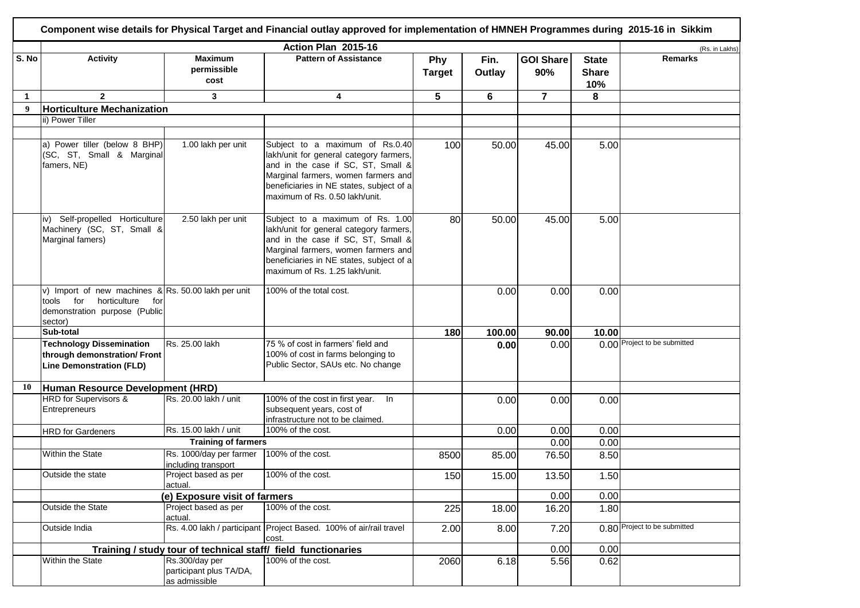|                  |                                                                                                                                        |                                                            | Component wise details for Physical Target and Financial outlay approved for implementation of HMNEH Programmes during 2015-16 in Sikkim                                                                                               |                      |                |                         |                                     |                              |
|------------------|----------------------------------------------------------------------------------------------------------------------------------------|------------------------------------------------------------|----------------------------------------------------------------------------------------------------------------------------------------------------------------------------------------------------------------------------------------|----------------------|----------------|-------------------------|-------------------------------------|------------------------------|
|                  |                                                                                                                                        |                                                            | Action Plan 2015-16                                                                                                                                                                                                                    |                      |                |                         |                                     | (Rs. in Lakhs)               |
| S. No            | <b>Activity</b>                                                                                                                        | <b>Maximum</b><br>permissible<br>cost                      | <b>Pattern of Assistance</b>                                                                                                                                                                                                           | Phy<br><b>Target</b> | Fin.<br>Outlay | <b>GOI Share</b><br>90% | <b>State</b><br><b>Share</b><br>10% | <b>Remarks</b>               |
| $\mathbf 1$      | $\mathbf{2}$                                                                                                                           | 3                                                          | 4                                                                                                                                                                                                                                      | 5                    | 6              | $\overline{7}$          | 8                                   |                              |
| $\boldsymbol{9}$ | <b>Horticulture Mechanization</b>                                                                                                      |                                                            |                                                                                                                                                                                                                                        |                      |                |                         |                                     |                              |
|                  | ii) Power Tiller                                                                                                                       |                                                            |                                                                                                                                                                                                                                        |                      |                |                         |                                     |                              |
|                  | a) Power tiller (below 8 BHP)<br>(SC, ST, Small & Marginal<br>famers, NE)                                                              | 1.00 lakh per unit                                         | Subject to a maximum of Rs.0.40<br>lakh/unit for general category farmers,<br>and in the case if SC, ST, Small &<br>Marginal farmers, women farmers and<br>beneficiaries in NE states, subject of a<br>maximum of Rs. 0.50 lakh/unit.  | 100                  | 50.00          | 45.00                   | 5.00                                |                              |
|                  | iv) Self-propelled Horticulture<br>Machinery (SC, ST, Small &<br>Marginal famers)                                                      | 2.50 lakh per unit                                         | Subject to a maximum of Rs. 1.00<br>lakh/unit for general category farmers,<br>and in the case if SC, ST, Small &<br>Marginal farmers, women farmers and<br>beneficiaries in NE states, subject of a<br>maximum of Rs. 1.25 lakh/unit. | 80                   | 50.00          | 45.00                   | 5.00                                |                              |
|                  | v) Import of new machines $\&$ Rs. 50.00 lakh per unit<br>tools for<br>horticulture<br>for<br>demonstration purpose (Public<br>sector) |                                                            | 100% of the total cost.                                                                                                                                                                                                                |                      | 0.00           | 0.00                    | 0.00                                |                              |
|                  | Sub-total                                                                                                                              |                                                            |                                                                                                                                                                                                                                        | 180                  | 100.00         | 90.00                   | 10.00                               |                              |
|                  | <b>Technology Dissemination</b><br>through demonstration/ Front<br><b>Line Demonstration (FLD)</b>                                     | Rs. 25.00 lakh                                             | 75 % of cost in farmers' field and<br>100% of cost in farms belonging to<br>Public Sector, SAUs etc. No change                                                                                                                         |                      | 0.00           | 0.00                    |                                     | 0.00 Project to be submitted |
| 10               | Human Resource Development (HRD)                                                                                                       |                                                            |                                                                                                                                                                                                                                        |                      |                |                         |                                     |                              |
|                  | HRD for Supervisors &<br>Entrepreneurs                                                                                                 | Rs. 20.00 lakh / unit                                      | 100% of the cost in first year.<br>In<br>subsequent years, cost of<br>infrastructure not to be claimed.                                                                                                                                |                      | 0.00           | 0.00                    | 0.00                                |                              |
|                  | <b>HRD</b> for Gardeners                                                                                                               | Rs. 15.00 lakh / unit                                      | 100% of the cost.                                                                                                                                                                                                                      |                      | 0.00           | 0.00                    | 0.00                                |                              |
|                  |                                                                                                                                        | <b>Training of farmers</b>                                 |                                                                                                                                                                                                                                        |                      |                | 0.00                    | 0.00                                |                              |
|                  | Within the State                                                                                                                       | Rs. 1000/day per farmer<br>including transport             | 100% of the cost.                                                                                                                                                                                                                      | 8500                 | 85.00          | 76.50                   | 8.50                                |                              |
|                  | Outside the state                                                                                                                      | Project based as per<br>actual.                            | 100% of the cost.                                                                                                                                                                                                                      | 150                  | 15.00          | 13.50                   | 1.50                                |                              |
|                  |                                                                                                                                        | (e) Exposure visit of farmers                              |                                                                                                                                                                                                                                        |                      |                | 0.00                    | 0.00                                |                              |
|                  | Outside the State                                                                                                                      | Project based as per<br>actual.                            | 100% of the cost.                                                                                                                                                                                                                      | 225                  | 18.00          | 16.20                   | 1.80                                |                              |
|                  | Outside India                                                                                                                          |                                                            | Rs. 4.00 lakh / participant Project Based. 100% of air/rail travel<br>cost.                                                                                                                                                            | 2.00                 | 8.00           | 7.20                    |                                     | 0.80 Project to be submitted |
|                  |                                                                                                                                        |                                                            | Training / study tour of technical staff/ field functionaries                                                                                                                                                                          |                      |                | 0.00                    | 0.00                                |                              |
|                  | Within the State                                                                                                                       | Rs.300/day per<br>participant plus TA/DA,<br>as admissible | 100% of the cost.                                                                                                                                                                                                                      | 2060                 | 6.18           | 5.56                    | 0.62                                |                              |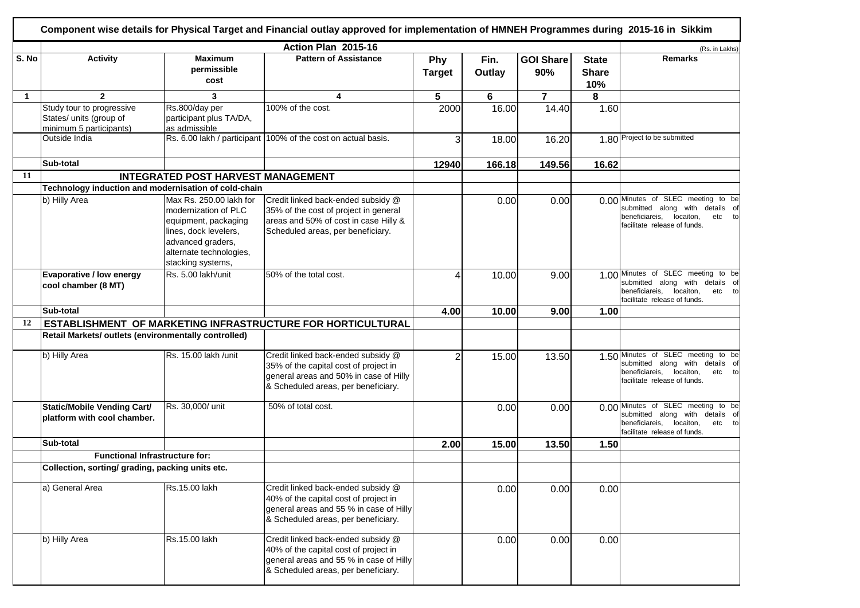|              |                                                                                 |                                                                                                                                                                       | Action Plan 2015-16                                                                                                                                           |                      |                |                         |                                     | (Rs. in Lakhs)                                                                                                                                    |
|--------------|---------------------------------------------------------------------------------|-----------------------------------------------------------------------------------------------------------------------------------------------------------------------|---------------------------------------------------------------------------------------------------------------------------------------------------------------|----------------------|----------------|-------------------------|-------------------------------------|---------------------------------------------------------------------------------------------------------------------------------------------------|
| S. No        | <b>Activity</b>                                                                 | <b>Maximum</b><br>permissible<br>cost                                                                                                                                 | <b>Pattern of Assistance</b>                                                                                                                                  | Phy<br><b>Target</b> | Fin.<br>Outlay | <b>GOI Share</b><br>90% | <b>State</b><br><b>Share</b><br>10% | <b>Remarks</b>                                                                                                                                    |
| $\mathbf{1}$ | $\overline{2}$                                                                  | 3                                                                                                                                                                     | 4                                                                                                                                                             | 5                    | 6              | $\overline{7}$          | 8                                   |                                                                                                                                                   |
|              | Study tour to progressive<br>States/ units (group of<br>minimum 5 participants) | Rs.800/day per<br>participant plus TA/DA,<br>as admissible                                                                                                            | 100% of the cost.                                                                                                                                             | 2000                 | 16.00          | 14.40                   | 1.60                                |                                                                                                                                                   |
|              | Outside India                                                                   |                                                                                                                                                                       | Rs. 6.00 lakh / participant 100% of the cost on actual basis.                                                                                                 | 3                    | 18.00          | 16.20                   |                                     | 1.80 Project to be submitted                                                                                                                      |
|              | Sub-total                                                                       |                                                                                                                                                                       |                                                                                                                                                               | 12940                | 166.18         | 149.56                  | 16.62                               |                                                                                                                                                   |
| 11           |                                                                                 | <b>INTEGRATED POST HARVEST MANAGEMENT</b>                                                                                                                             |                                                                                                                                                               |                      |                |                         |                                     |                                                                                                                                                   |
|              | Technology induction and modernisation of cold-chain                            |                                                                                                                                                                       |                                                                                                                                                               |                      |                |                         |                                     |                                                                                                                                                   |
|              | b) Hilly Area                                                                   | Max Rs. 250.00 lakh for<br>modernization of PLC<br>equipment, packaging<br>lines, dock levelers,<br>advanced graders,<br>alternate technologies,<br>stacking systems, | Credit linked back-ended subsidy @<br>35% of the cost of project in general<br>areas and 50% of cost in case Hilly &<br>Scheduled areas, per beneficiary.     |                      | 0.00           | 0.00                    |                                     | 0.00 Minutes of SLEC meeting to be<br>submitted along with details of<br>beneficiareis,<br>locaiton,<br>etc<br>to<br>facilitate release of funds. |
|              | Evaporative / low energy<br>cool chamber (8 MT)                                 | Rs. 5.00 lakh/unit                                                                                                                                                    | 50% of the total cost.                                                                                                                                        | 4                    | 10.00          | 9.00                    |                                     | 1.00 Minutes of SLEC meeting to be<br>submitted along with details of<br>beneficiareis,<br>locaiton,<br>etc to<br>facilitate release of funds.    |
|              | Sub-total                                                                       |                                                                                                                                                                       |                                                                                                                                                               | 4.00                 | 10.00          | 9.00                    | 1.00                                |                                                                                                                                                   |
| 12           |                                                                                 |                                                                                                                                                                       | ESTABLISHMENT OF MARKETING INFRASTRUCTURE FOR HORTICULTURAL                                                                                                   |                      |                |                         |                                     |                                                                                                                                                   |
|              | Retail Markets/ outlets (environmentally controlled)                            |                                                                                                                                                                       |                                                                                                                                                               |                      |                |                         |                                     |                                                                                                                                                   |
|              | b) Hilly Area                                                                   | Rs. 15.00 lakh /unit                                                                                                                                                  | Credit linked back-ended subsidy @<br>35% of the capital cost of project in<br>general areas and 50% in case of Hilly<br>& Scheduled areas, per beneficiary.  | $\overline{2}$       | 15.00          | 13.50                   | 1.50                                | Minutes of SLEC meeting to be<br>submitted along with details of<br>beneficiareis,<br>etc to<br>locaiton,<br>facilitate release of funds.         |
|              | Static/Mobile Vending Cart/<br>platform with cool chamber.                      | Rs. 30,000/ unit                                                                                                                                                      | 50% of total cost.                                                                                                                                            |                      | 0.00           | 0.00                    |                                     | 0.00 Minutes of SLEC meeting to be<br>submitted along with<br>details of<br>beneficiareis,<br>locaiton,<br>etc to<br>facilitate release of funds. |
|              | Sub-total                                                                       |                                                                                                                                                                       |                                                                                                                                                               | 2.00                 | 15.00          | 13.50                   | 1.50                                |                                                                                                                                                   |
|              | <b>Functional Infrastructure for:</b>                                           |                                                                                                                                                                       |                                                                                                                                                               |                      |                |                         |                                     |                                                                                                                                                   |
|              | Collection, sorting/ grading, packing units etc.                                |                                                                                                                                                                       |                                                                                                                                                               |                      |                |                         |                                     |                                                                                                                                                   |
|              | a) General Area                                                                 | Rs.15.00 lakh                                                                                                                                                         | Credit linked back-ended subsidy @<br>40% of the capital cost of project in<br>general areas and 55 % in case of Hilly<br>& Scheduled areas, per beneficiary. |                      | 0.00           | 0.00                    | 0.00                                |                                                                                                                                                   |
|              | b) Hilly Area                                                                   | Rs.15.00 lakh                                                                                                                                                         | Credit linked back-ended subsidy @<br>40% of the capital cost of project in<br>general areas and 55 % in case of Hilly<br>& Scheduled areas, per beneficiary. |                      | 0.00           | 0.00                    | 0.00                                |                                                                                                                                                   |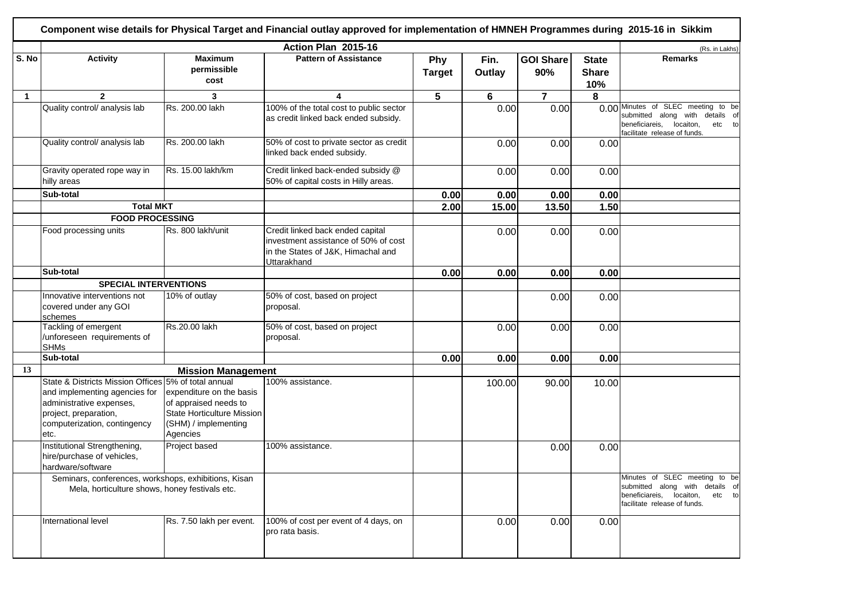|             |                                                                                                                                                                                    |                                                                                                                            | Action Plan 2015-16                                                                                                           |                      |                |                         |                                     | (Rs. in Lakhs)                                                                                                                              |
|-------------|------------------------------------------------------------------------------------------------------------------------------------------------------------------------------------|----------------------------------------------------------------------------------------------------------------------------|-------------------------------------------------------------------------------------------------------------------------------|----------------------|----------------|-------------------------|-------------------------------------|---------------------------------------------------------------------------------------------------------------------------------------------|
| S. No       | <b>Activity</b>                                                                                                                                                                    | <b>Maximum</b><br>permissible<br>cost                                                                                      | <b>Pattern of Assistance</b>                                                                                                  | Phy<br><b>Target</b> | Fin.<br>Outlay | <b>GOI Share</b><br>90% | <b>State</b><br><b>Share</b><br>10% | <b>Remarks</b>                                                                                                                              |
| $\mathbf 1$ | $\overline{2}$                                                                                                                                                                     | 3                                                                                                                          | 4                                                                                                                             | 5                    | $\bf 6$        | $\overline{7}$          | 8                                   |                                                                                                                                             |
|             | Quality control/ analysis lab                                                                                                                                                      | Rs. 200.00 lakh                                                                                                            | 100% of the total cost to public sector<br>as credit linked back ended subsidy.                                               |                      | 0.00           | 0.00                    |                                     | 0.00 Minutes of SLEC meeting to be<br>submitted along with details of<br>beneficiareis, locaiton,<br>etc to<br>facilitate release of funds. |
|             | Quality control/ analysis lab                                                                                                                                                      | Rs. 200.00 lakh                                                                                                            | 50% of cost to private sector as credit<br>linked back ended subsidy.                                                         |                      | 0.00           | 0.00                    | 0.00                                |                                                                                                                                             |
|             | Gravity operated rope way in<br>hilly areas                                                                                                                                        | Rs. 15.00 lakh/km                                                                                                          | Credit linked back-ended subsidy @<br>50% of capital costs in Hilly areas.                                                    |                      | 0.00           | 0.00                    | 0.00                                |                                                                                                                                             |
|             | Sub-total                                                                                                                                                                          |                                                                                                                            |                                                                                                                               | 0.00                 | 0.00           | 0.00                    | 0.00                                |                                                                                                                                             |
|             | <b>Total MKT</b>                                                                                                                                                                   |                                                                                                                            |                                                                                                                               | 2.00                 | 15.00          | 13.50                   | 1.50                                |                                                                                                                                             |
|             | <b>FOOD PROCESSING</b>                                                                                                                                                             |                                                                                                                            |                                                                                                                               |                      |                |                         |                                     |                                                                                                                                             |
|             | Food processing units                                                                                                                                                              | Rs. 800 lakh/unit                                                                                                          | Credit linked back ended capital<br>investment assistance of 50% of cost<br>in the States of J&K, Himachal and<br>Uttarakhand |                      | 0.00           | 0.00                    | 0.00                                |                                                                                                                                             |
|             | Sub-total                                                                                                                                                                          |                                                                                                                            |                                                                                                                               | 0.00                 | 0.00           | 0.00                    | 0.00                                |                                                                                                                                             |
|             | <b>SPECIAL INTERVENTIONS</b>                                                                                                                                                       |                                                                                                                            |                                                                                                                               |                      |                |                         |                                     |                                                                                                                                             |
|             | Innovative interventions not<br>covered under any GOI<br>schemes                                                                                                                   | 10% of outlay                                                                                                              | 50% of cost, based on project<br>proposal.                                                                                    |                      |                | 0.00                    | 0.00                                |                                                                                                                                             |
|             | Tackling of emergent<br>/unforeseen requirements of<br><b>SHMs</b>                                                                                                                 | Rs.20.00 lakh                                                                                                              | 50% of cost, based on project<br>proposal.                                                                                    |                      | 0.00           | 0.00                    | 0.00                                |                                                                                                                                             |
|             | Sub-total                                                                                                                                                                          |                                                                                                                            |                                                                                                                               | 0.00                 | 0.00           | 0.00                    | 0.00                                |                                                                                                                                             |
| 13          |                                                                                                                                                                                    | <b>Mission Management</b>                                                                                                  |                                                                                                                               |                      |                |                         |                                     |                                                                                                                                             |
|             | State & Districts Mission Offices 5% of total annual<br>and implementing agencies for<br>administrative expenses,<br>project, preparation,<br>computerization, contingency<br>etc. | expenditure on the basis<br>of appraised needs to<br><b>State Horticulture Mission</b><br>(SHM) / implementing<br>Agencies | 100% assistance.                                                                                                              |                      | 100.00         | 90.00                   | 10.00                               |                                                                                                                                             |
|             | Institutional Strengthening,<br>hire/purchase of vehicles,<br>hardware/software                                                                                                    | Project based                                                                                                              | 100% assistance.                                                                                                              |                      |                | 0.00                    | 0.00                                |                                                                                                                                             |
|             | Seminars, conferences, workshops, exhibitions, Kisan<br>Mela, horticulture shows, honey festivals etc.                                                                             |                                                                                                                            |                                                                                                                               |                      |                |                         |                                     | Minutes of SLEC meeting to be<br>submitted along with details of<br>beneficiareis, locaiton,<br>etc to<br>facilitate release of funds.      |
|             | International level                                                                                                                                                                | Rs. 7.50 lakh per event.                                                                                                   | 100% of cost per event of 4 days, on<br>pro rata basis.                                                                       |                      | 0.00           | 0.00                    | 0.00                                |                                                                                                                                             |